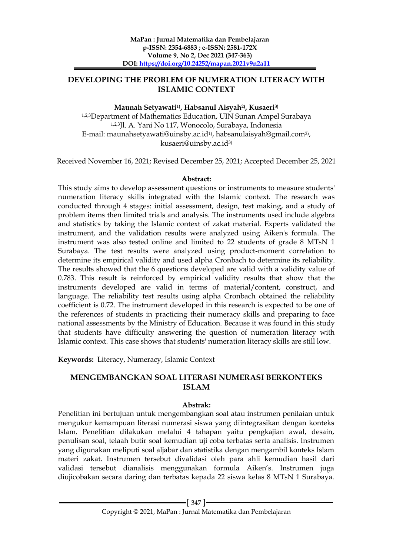# **DEVELOPING THE PROBLEM OF NUMERATION LITERACY WITH ISLAMIC CONTEXT**

## **Maunah Setyawati1) , Habsanul Aisyah2) , Kusaeri3)**

1,2,3Department of Mathematics Education, UIN Sunan Ampel Surabaya 1,2,3Jl. A. Yani No 117, Wonocolo, Surabaya, Indonesia E-mail: [maunahsetyawati@uinsby.ac.id](mailto:maunahsetyawati@uinsby.ac.id1)<sup>1)</sup>, [habsanulaisyah@gmail.com](mailto:habsanulaisyah@gmail.com2)<sup>2)</sup>, kusaeri@uinsby.ac.id3)

Received November 16, 2021; Revised December 25, 2021; Accepted December 25, 2021

## **Abstract:**

This study aims to develop assessment questions or instruments to measure students' numeration literacy skills integrated with the Islamic context. The research was conducted through 4 stages: initial assessment, design, test making, and a study of problem items then limited trials and analysis. The instruments used include algebra and statistics by taking the Islamic context of zakat material. Experts validated the instrument, and the validation results were analyzed using Aiken's formula. The instrument was also tested online and limited to 22 students of grade 8 MTsN 1 Surabaya. The test results were analyzed using product-moment correlation to determine its empirical validity and used alpha Cronbach to determine its reliability. The results showed that the 6 questions developed are valid with a validity value of 0.783. This result is reinforced by empirical validity results that show that the instruments developed are valid in terms of material/content, construct, and language. The reliability test results using alpha Cronbach obtained the reliability coefficient is 0.72. The instrument developed in this research is expected to be one of the references of students in practicing their numeracy skills and preparing to face national assessments by the Ministry of Education. Because it was found in this study that students have difficulty answering the question of numeration literacy with Islamic context. This case shows that students' numeration literacy skills are still low.

**Keywords:** Literacy, Numeracy, Islamic Context

## **MENGEMBANGKAN SOAL LITERASI NUMERASI BERKONTEKS ISLAM**

## **Abstrak:**

Penelitian ini bertujuan untuk mengembangkan soal atau instrumen penilaian untuk mengukur kemampuan literasi numerasi siswa yang diintegrasikan dengan konteks Islam. Penelitian dilakukan melalui 4 tahapan yaitu pengkajian awal, desain, penulisan soal, telaah butir soal kemudian uji coba terbatas serta analisis. Instrumen yang digunakan meliputi soal aljabar dan statistika dengan mengambil konteks Islam materi zakat. Instrumen tersebut divalidasi oleh para ahli kemudian hasil dari validasi tersebut dianalisis menggunakan formula Aiken's. Instrumen juga diujicobakan secara daring dan terbatas kepada 22 siswa kelas 8 MTsN 1 Surabaya.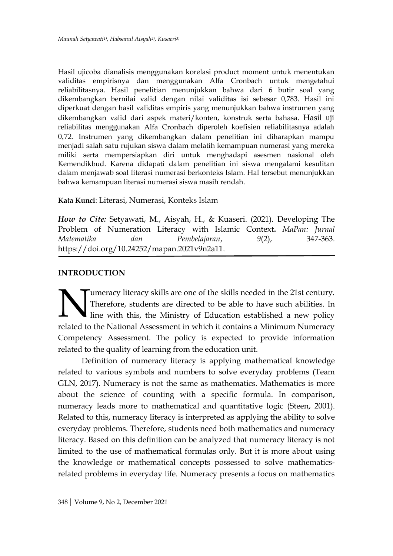Hasil ujicoba dianalisis menggunakan korelasi product moment untuk menentukan validitas empirisnya dan menggunakan Alfa Cronbach untuk mengetahui reliabilitasnya. Hasil penelitian menunjukkan bahwa dari 6 butir soal yang dikembangkan bernilai valid dengan nilai validitas isi sebesar 0,783. Hasil ini diperkuat dengan hasil validitas empiris yang menunjukkan bahwa instrumen yang dikembangkan valid dari aspek materi/konten, konstruk serta bahasa. Hasil uji reliabilitas menggunakan Alfa Cronbach diperoleh koefisien reliabilitasnya adalah 0,72. Instrumen yang dikembangkan dalam penelitian ini diharapkan mampu menjadi salah satu rujukan siswa dalam melatih kemampuan numerasi yang mereka miliki serta mempersiapkan diri untuk menghadapi asesmen nasional oleh Kemendikbud. Karena didapati dalam penelitian ini siswa mengalami kesulitan dalam menjawab soal literasi numerasi berkonteks Islam. Hal tersebut menunjukkan bahwa kemampuan literasi numerasi siswa masih rendah.

## **Kata Kunci**: Literasi, Numerasi, Konteks Islam

*How to Cite:* Setyawati, M., Aisyah, H., & Kuaseri. (2021). Developing The Problem of Numeration Literacy with Islamic Context**.** *MaPan: Jurnal Matematika dan Pembelajaran*, *9*(2), 347-363. https://doi.org/10.24252/mapan.2021v9n2a11.

## **INTRODUCTION**

umeracy literacy skills are one of the skills needed in the 21st century. Therefore, students are directed to be able to have such abilities. In Ine with this, the Ministry of Education established a new policy Imeracy literacy skills are one of the skills needed in the 21st century.<br>Therefore, students are directed to be able to have such abilities. In line with this, the Ministry of Education established a new policy related to Competency Assessment. The policy is expected to provide information related to the quality of learning from the education unit.

Definition of numeracy literacy is applying mathematical knowledge related to various symbols and numbers to solve everyday problems (Team GLN, 2017). Numeracy is not the same as mathematics. Mathematics is more about the science of counting with a specific formula. In comparison, numeracy leads more to mathematical and quantitative logic (Steen, 2001). Related to this, numeracy literacy is interpreted as applying the ability to solve everyday problems. Therefore, students need both mathematics and numeracy literacy. Based on this definition can be analyzed that numeracy literacy is not limited to the use of mathematical formulas only. But it is more about using the knowledge or mathematical concepts possessed to solve mathematicsrelated problems in everyday life. Numeracy presents a focus on mathematics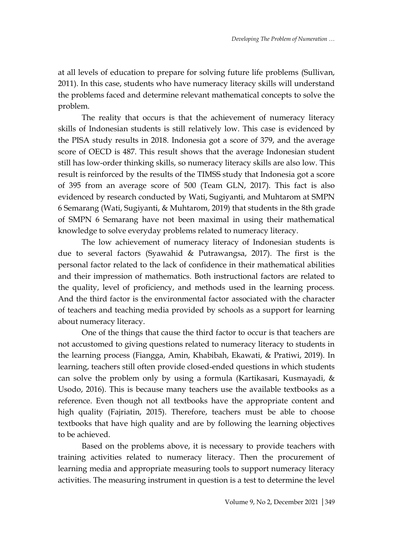at all levels of education to prepare for solving future life problems (Sullivan, 2011). In this case, students who have numeracy literacy skills will understand the problems faced and determine relevant mathematical concepts to solve the problem.

The reality that occurs is that the achievement of numeracy literacy skills of Indonesian students is still relatively low. This case is evidenced by the PISA study results in 2018. Indonesia got a score of 379, and the average score of OECD is 487. This result shows that the average Indonesian student still has low-order thinking skills, so numeracy literacy skills are also low. This result is reinforced by the results of the TIMSS study that Indonesia got a score of 395 from an average score of 500 (Team GLN, 2017). This fact is also evidenced by research conducted by Wati, Sugiyanti, and Muhtarom at SMPN 6 Semarang (Wati, Sugiyanti, & Muhtarom, 2019) that students in the 8th grade of SMPN 6 Semarang have not been maximal in using their mathematical knowledge to solve everyday problems related to numeracy literacy.

The low achievement of numeracy literacy of Indonesian students is due to several factors (Syawahid & Putrawangsa, 2017). The first is the personal factor related to the lack of confidence in their mathematical abilities and their impression of mathematics. Both instructional factors are related to the quality, level of proficiency, and methods used in the learning process. And the third factor is the environmental factor associated with the character of teachers and teaching media provided by schools as a support for learning about numeracy literacy.

One of the things that cause the third factor to occur is that teachers are not accustomed to giving questions related to numeracy literacy to students in the learning process (Fiangga, Amin, Khabibah, Ekawati, & Pratiwi, 2019). In learning, teachers still often provide closed-ended questions in which students can solve the problem only by using a formula (Kartikasari, Kusmayadi, & Usodo, 2016). This is because many teachers use the available textbooks as a reference. Even though not all textbooks have the appropriate content and high quality (Fajriatin, 2015). Therefore, teachers must be able to choose textbooks that have high quality and are by following the learning objectives to be achieved.

Based on the problems above, it is necessary to provide teachers with training activities related to numeracy literacy. Then the procurement of learning media and appropriate measuring tools to support numeracy literacy activities. The measuring instrument in question is a test to determine the level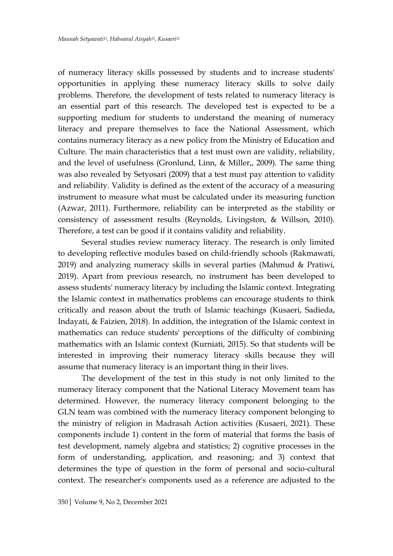of numeracy literacy skills possessed by students and to increase students' opportunities in applying these numeracy literacy skills to solve daily problems. Therefore, the development of tests related to numeracy literacy is an essential part of this research. The developed test is expected to be a supporting medium for students to understand the meaning of numeracy literacy and prepare themselves to face the National Assessment, which contains numeracy literacy as a new policy from the Ministry of Education and Culture. The main characteristics that a test must own are validity, reliability, and the level of usefulness (Gronlund, Linn, & Miller,, 2009). The same thing was also revealed by Setyosari (2009) that a test must pay attention to validity and reliability. Validity is defined as the extent of the accuracy of a measuring instrument to measure what must be calculated under its measuring function (Azwar, 2011). Furthermore, reliability can be interpreted as the stability or consistency of assessment results (Reynolds, Livingston, & Willson, 2010). Therefore, a test can be good if it contains validity and reliability.

Several studies review numeracy literacy. The research is only limited to developing reflective modules based on child-friendly schools (Rakmawati, 2019) and analyzing numeracy skills in several parties (Mahmud & Pratiwi, 2019). Apart from previous research, no instrument has been developed to assess students' numeracy literacy by including the Islamic context. Integrating the Islamic context in mathematics problems can encourage students to think critically and reason about the truth of Islamic teachings (Kusaeri, Sadieda, Indayati, & Faizien, 2018). In addition, the integration of the Islamic context in mathematics can reduce students' perceptions of the difficulty of combining mathematics with an Islamic context (Kurniati, 2015). So that students will be interested in improving their numeracy literacy skills because they will assume that numeracy literacy is an important thing in their lives.

The development of the test in this study is not only limited to the numeracy literacy component that the National Literacy Movement team has determined. However, the numeracy literacy component belonging to the GLN team was combined with the numeracy literacy component belonging to the ministry of religion in Madrasah Action activities (Kusaeri, 2021). These components include 1) content in the form of material that forms the basis of test development, namely algebra and statistics; 2) cognitive processes in the form of understanding, application, and reasoning; and 3) context that determines the type of question in the form of personal and socio-cultural context. The researcher's components used as a reference are adjusted to the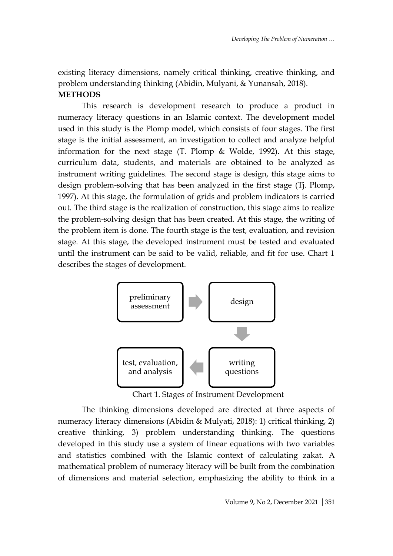existing literacy dimensions, namely critical thinking, creative thinking, and problem understanding thinking (Abidin, Mulyani, & Yunansah, 2018). **METHODS**

This research is development research to produce a product in numeracy literacy questions in an Islamic context. The development model used in this study is the Plomp model, which consists of four stages. The first stage is the initial assessment, an investigation to collect and analyze helpful information for the next stage (T. Plomp & Wolde, 1992). At this stage, curriculum data, students, and materials are obtained to be analyzed as instrument writing guidelines. The second stage is design, this stage aims to design problem-solving that has been analyzed in the first stage (Tj. Plomp, 1997). At this stage, the formulation of grids and problem indicators is carried out. The third stage is the realization of construction, this stage aims to realize the problem-solving design that has been created. At this stage, the writing of the problem item is done. The fourth stage is the test, evaluation, and revision stage. At this stage, the developed instrument must be tested and evaluated until the instrument can be said to be valid, reliable, and fit for use. Chart 1 describes the stages of development.



Chart 1. Stages of Instrument Development

The thinking dimensions developed are directed at three aspects of numeracy literacy dimensions (Abidin & Mulyati, 2018): 1) critical thinking, 2) creative thinking, 3) problem understanding thinking. The questions developed in this study use a system of linear equations with two variables and statistics combined with the Islamic context of calculating zakat. A mathematical problem of numeracy literacy will be built from the combination of dimensions and material selection, emphasizing the ability to think in a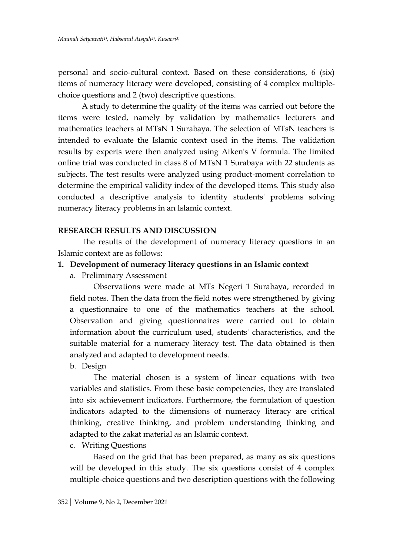personal and socio-cultural context. Based on these considerations, 6 (six) items of numeracy literacy were developed, consisting of 4 complex multiplechoice questions and 2 (two) descriptive questions.

A study to determine the quality of the items was carried out before the items were tested, namely by validation by mathematics lecturers and mathematics teachers at MTsN 1 Surabaya. The selection of MTsN teachers is intended to evaluate the Islamic context used in the items. The validation results by experts were then analyzed using Aiken's V formula. The limited online trial was conducted in class 8 of MTsN 1 Surabaya with 22 students as subjects. The test results were analyzed using product-moment correlation to determine the empirical validity index of the developed items. This study also conducted a descriptive analysis to identify students' problems solving numeracy literacy problems in an Islamic context.

## **RESEARCH RESULTS AND DISCUSSION**

The results of the development of numeracy literacy questions in an Islamic context are as follows:

# **1. Development of numeracy literacy questions in an Islamic context**

a. Preliminary Assessment

Observations were made at MTs Negeri 1 Surabaya, recorded in field notes. Then the data from the field notes were strengthened by giving a questionnaire to one of the mathematics teachers at the school. Observation and giving questionnaires were carried out to obtain information about the curriculum used, students' characteristics, and the suitable material for a numeracy literacy test. The data obtained is then analyzed and adapted to development needs.

b. Design

The material chosen is a system of linear equations with two variables and statistics. From these basic competencies, they are translated into six achievement indicators. Furthermore, the formulation of question indicators adapted to the dimensions of numeracy literacy are critical thinking, creative thinking, and problem understanding thinking and adapted to the zakat material as an Islamic context.

# c. Writing Questions

Based on the grid that has been prepared, as many as six questions will be developed in this study. The six questions consist of 4 complex multiple-choice questions and two description questions with the following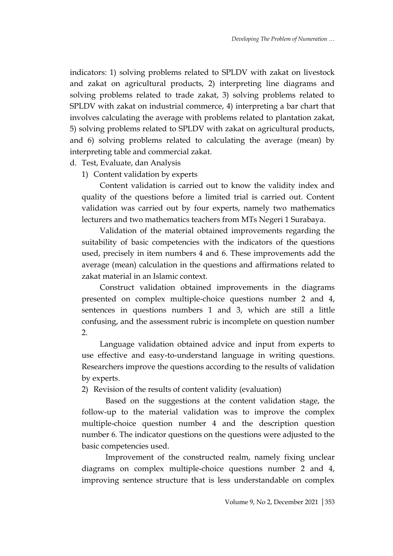indicators: 1) solving problems related to SPLDV with zakat on livestock and zakat on agricultural products, 2) interpreting line diagrams and solving problems related to trade zakat, 3) solving problems related to SPLDV with zakat on industrial commerce, 4) interpreting a bar chart that involves calculating the average with problems related to plantation zakat, 5) solving problems related to SPLDV with zakat on agricultural products, and 6) solving problems related to calculating the average (mean) by interpreting table and commercial zakat.

- d. Test, Evaluate, dan Analysis
	- 1) Content validation by experts

Content validation is carried out to know the validity index and quality of the questions before a limited trial is carried out. Content validation was carried out by four experts, namely two mathematics lecturers and two mathematics teachers from MTs Negeri 1 Surabaya.

Validation of the material obtained improvements regarding the suitability of basic competencies with the indicators of the questions used, precisely in item numbers 4 and 6. These improvements add the average (mean) calculation in the questions and affirmations related to zakat material in an Islamic context.

Construct validation obtained improvements in the diagrams presented on complex multiple-choice questions number 2 and 4, sentences in questions numbers 1 and 3, which are still a little confusing, and the assessment rubric is incomplete on question number 2.

Language validation obtained advice and input from experts to use effective and easy-to-understand language in writing questions. Researchers improve the questions according to the results of validation by experts.

2) Revision of the results of content validity (evaluation)

Based on the suggestions at the content validation stage, the follow-up to the material validation was to improve the complex multiple-choice question number 4 and the description question number 6. The indicator questions on the questions were adjusted to the basic competencies used.

Improvement of the constructed realm, namely fixing unclear diagrams on complex multiple-choice questions number 2 and 4, improving sentence structure that is less understandable on complex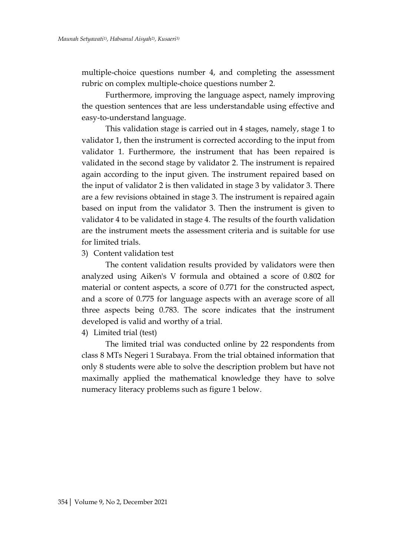multiple-choice questions number 4, and completing the assessment rubric on complex multiple-choice questions number 2.

Furthermore, improving the language aspect, namely improving the question sentences that are less understandable using effective and easy-to-understand language.

This validation stage is carried out in 4 stages, namely, stage 1 to validator 1, then the instrument is corrected according to the input from validator 1. Furthermore, the instrument that has been repaired is validated in the second stage by validator 2. The instrument is repaired again according to the input given. The instrument repaired based on the input of validator 2 is then validated in stage 3 by validator 3. There are a few revisions obtained in stage 3. The instrument is repaired again based on input from the validator 3. Then the instrument is given to validator 4 to be validated in stage 4. The results of the fourth validation are the instrument meets the assessment criteria and is suitable for use for limited trials.

3) Content validation test

The content validation results provided by validators were then analyzed using Aiken's V formula and obtained a score of 0.802 for material or content aspects, a score of 0.771 for the constructed aspect, and a score of 0.775 for language aspects with an average score of all three aspects being 0.783. The score indicates that the instrument developed is valid and worthy of a trial.

4) Limited trial (test)

The limited trial was conducted online by 22 respondents from class 8 MTs Negeri 1 Surabaya. From the trial obtained information that only 8 students were able to solve the description problem but have not maximally applied the mathematical knowledge they have to solve numeracy literacy problems such as figure 1 below.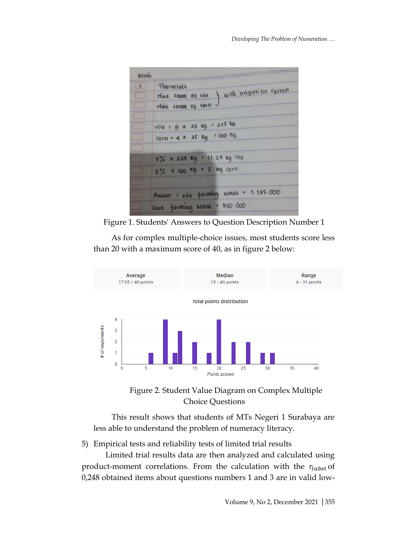

Figure 1. Students' Answers to Question Description Number 1

As for complex multiple-choice issues, most students score less than 20 with a maximum score of 40, as in figure 2 below:



Figure 2. Student Value Diagram on Complex Multiple Choice Questions

This result shows that students of MTs Negeri 1 Surabaya are less able to understand the problem of numeracy literacy.

5) Empirical tests and reliability tests of limited trial results

Limited trial results data are then analyzed and calculated using product-moment correlations. From the calculation with the  $r_{table}$  of 0,248 obtained items about questions numbers 1 and 3 are in valid low-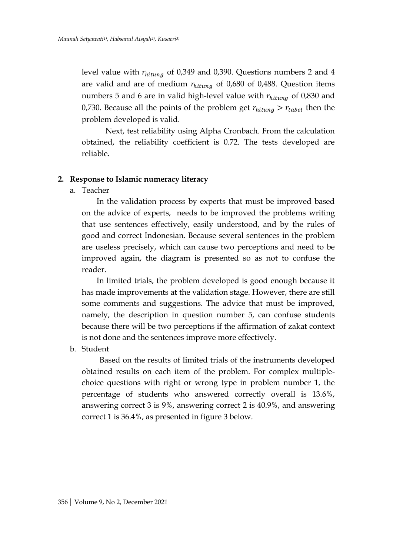level value with  $r_{hitung}$  of 0,349 and 0,390. Questions numbers 2 and 4 are valid and are of medium  $r_{hitung}$  of 0,680 of 0,488. Question items numbers 5 and 6 are in valid high-level value with  $r_{hitung}$  of 0,830 and 0,730. Because all the points of the problem get  $r_{hitung} > r_{table}$  then the problem developed is valid.

Next, test reliability using Alpha Cronbach. From the calculation obtained, the reliability coefficient is 0.72. The tests developed are reliable.

#### **2. Response to Islamic numeracy literacy**

a. Teacher

In the validation process by experts that must be improved based on the advice of experts, needs to be improved the problems writing that use sentences effectively, easily understood, and by the rules of good and correct Indonesian. Because several sentences in the problem are useless precisely, which can cause two perceptions and need to be improved again, the diagram is presented so as not to confuse the reader.

In limited trials, the problem developed is good enough because it has made improvements at the validation stage. However, there are still some comments and suggestions. The advice that must be improved, namely, the description in question number 5, can confuse students because there will be two perceptions if the affirmation of zakat context is not done and the sentences improve more effectively.

b. Student

Based on the results of limited trials of the instruments developed obtained results on each item of the problem. For complex multiplechoice questions with right or wrong type in problem number 1, the percentage of students who answered correctly overall is 13.6%, answering correct 3 is 9%, answering correct 2 is 40.9%, and answering correct 1 is 36.4%, as presented in figure 3 below.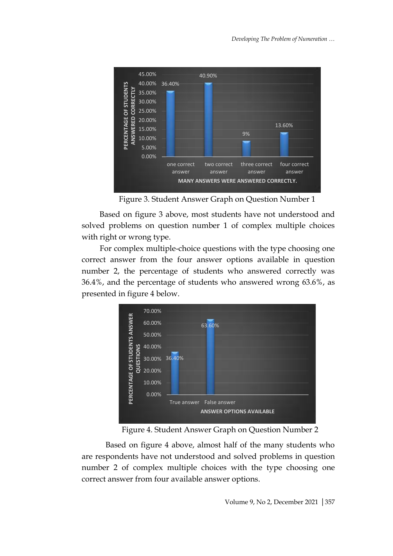

Figure 3. Student Answer Graph on Question Number 1

Based on figure 3 above, most students have not understood and solved problems on question number 1 of complex multiple choices with right or wrong type.

For complex multiple-choice questions with the type choosing one correct answer from the four answer options available in question number 2, the percentage of students who answered correctly was 36.4%, and the percentage of students who answered wrong 63.6%, as presented in figure 4 below.



Figure 4. Student Answer Graph on Question Number 2

Based on figure 4 above, almost half of the many students who are respondents have not understood and solved problems in question number 2 of complex multiple choices with the type choosing one correct answer from four available answer options.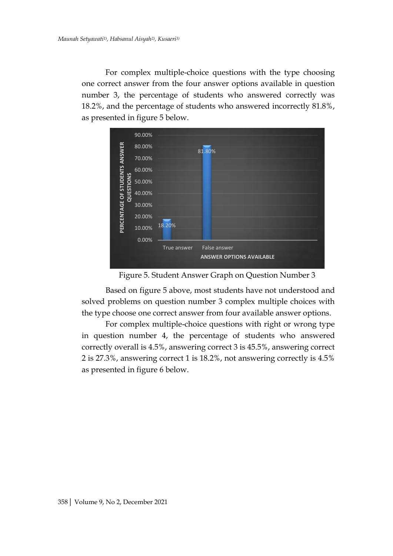For complex multiple-choice questions with the type choosing one correct answer from the four answer options available in question number 3, the percentage of students who answered correctly was 18.2%, and the percentage of students who answered incorrectly 81.8%, as presented in figure 5 below.



Figure 5. Student Answer Graph on Question Number 3

Based on figure 5 above, most students have not understood and solved problems on question number 3 complex multiple choices with the type choose one correct answer from four available answer options.

For complex multiple-choice questions with right or wrong type in question number 4, the percentage of students who answered correctly overall is 4.5%, answering correct 3 is 45.5%, answering correct 2 is 27.3%, answering correct 1 is 18.2%, not answering correctly is 4.5% as presented in figure 6 below.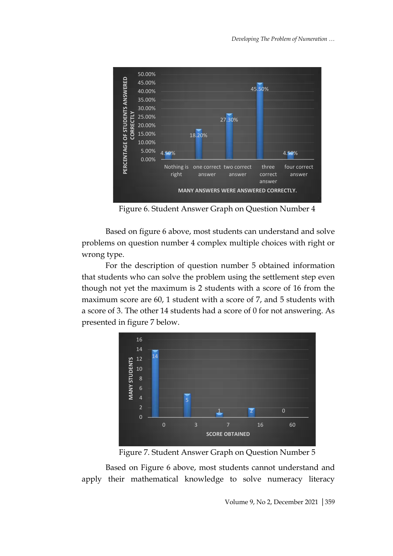

Figure 6. Student Answer Graph on Question Number 4

Based on figure 6 above, most students can understand and solve problems on question number 4 complex multiple choices with right or wrong type.

For the description of question number 5 obtained information that students who can solve the problem using the settlement step even though not yet the maximum is 2 students with a score of 16 from the maximum score are 60, 1 student with a score of 7, and 5 students with a score of 3. The other 14 students had a score of 0 for not answering. As presented in figure 7 below.





Based on Figure 6 above, most students cannot understand and apply their mathematical knowledge to solve numeracy literacy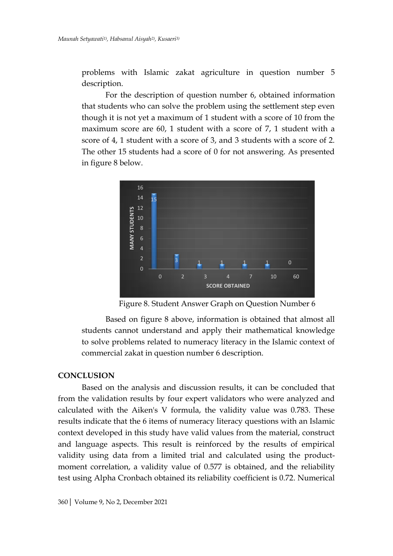problems with Islamic zakat agriculture in question number 5 description.

For the description of question number 6, obtained information that students who can solve the problem using the settlement step even though it is not yet a maximum of 1 student with a score of 10 from the maximum score are 60, 1 student with a score of 7, 1 student with a score of 4, 1 student with a score of 3, and 3 students with a score of 2. The other 15 students had a score of 0 for not answering. As presented in figure 8 below.



Figure 8. Student Answer Graph on Question Number 6

Based on figure 8 above, information is obtained that almost all students cannot understand and apply their mathematical knowledge to solve problems related to numeracy literacy in the Islamic context of commercial zakat in question number 6 description.

#### **CONCLUSION**

Based on the analysis and discussion results, it can be concluded that from the validation results by four expert validators who were analyzed and calculated with the Aiken's V formula, the validity value was 0.783. These results indicate that the 6 items of numeracy literacy questions with an Islamic context developed in this study have valid values from the material, construct and language aspects. This result is reinforced by the results of empirical validity using data from a limited trial and calculated using the productmoment correlation, a validity value of 0.577 is obtained, and the reliability test using Alpha Cronbach obtained its reliability coefficient is 0.72. Numerical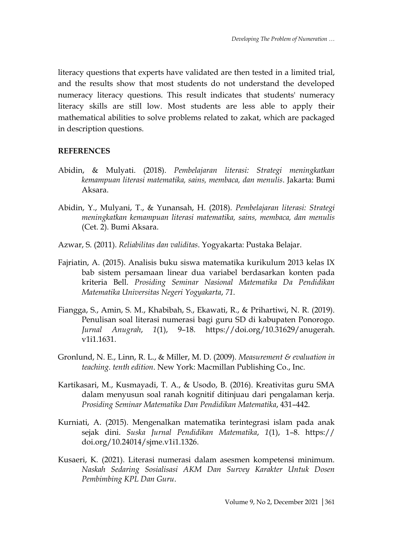literacy questions that experts have validated are then tested in a limited trial, and the results show that most students do not understand the developed numeracy literacy questions. This result indicates that students' numeracy literacy skills are still low. Most students are less able to apply their mathematical abilities to solve problems related to zakat, which are packaged in description questions.

## **REFERENCES**

- Abidin, & Mulyati. (2018). *Pembelajaran literasi: Strategi meningkatkan kemampuan literasi matematika, sains, membaca, dan menulis*. Jakarta: Bumi Aksara.
- Abidin, Y., Mulyani, T., & Yunansah, H. (2018). *Pembelajaran literasi: Strategi meningkatkan kemampuan literasi matematika, sains, membaca, dan menulis* (Cet. 2). Bumi Aksara.
- Azwar, S. (2011). *Reliabilitas dan validitas*. Yogyakarta: Pustaka Belajar.
- Fajriatin, A. (2015). Analisis buku siswa matematika kurikulum 2013 kelas IX bab sistem persamaan linear dua variabel berdasarkan konten pada kriteria Bell. *Prosiding Seminar Nasional Matematika Da Pendidikan Matematika Universitas Negeri Yogyakarta*, *71*.
- Fiangga, S., Amin, S. M., Khabibah, S., Ekawati, R., & Prihartiwi, N. R. (2019). Penulisan soal literasi numerasi bagi guru SD di kabupaten Ponorogo. *Jurnal Anugrah*, *1*(1), 9–18. https://doi.org/10.31629/anugerah. v1i1.1631.
- Gronlund, N. E., Linn, R. L., & Miller, M. D. (2009). *Measurement & evaluation in teaching. tenth edition*. New York: Macmillan Publishing Co., Inc.
- Kartikasari, M., Kusmayadi, T. A., & Usodo, B. (2016). Kreativitas guru SMA dalam menyusun soal ranah kognitif ditinjuau dari pengalaman kerja. *Prosiding Seminar Matematika Dan Pendidikan Matematika*, 431–442.
- Kurniati, A. (2015). Mengenalkan matematika terintegrasi islam pada anak sejak dini. *Suska Jurnal Pendidikan Matematika*, *1*(1), 1–8. https:// doi.org/10.24014/sjme.v1i1.1326.
- Kusaeri, K. (2021). Literasi numerasi dalam asesmen kompetensi minimum. *Naskah Sedaring Sosialisasi AKM Dan Survey Karakter Untuk Dosen Pembimbing KPL Dan Guru*.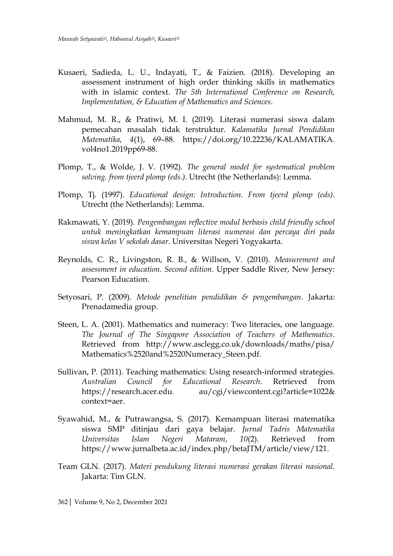- Kusaeri, Sadieda, L. U., Indayati, T., & Faizien. (2018). Developing an assessment instrument of high order thinking skills in mathematics with in islamic context. *The 5th International Conference on Research, Implementation, & Education of Mathematics and Sciences*.
- Mahmud, M. R., & Pratiwi, M. I. (2019). Literasi numerasi siswa dalam pemecahan masalah tidak terstruktur. *Kalamatika Jurnal Pendidikan Matematika*, *4*(1), 69–88. https://doi.org/10.22236/KALAMATIKA. vol4no1.2019pp69-88.
- Plomp, T., & Wolde, J. V. (1992). *The general model for systematical problem solving. from tjeerd plomp (eds.)*. Utrecht (the Netherlands): Lemma.
- Plomp, Tj. (1997). *Educational design: Introduction. From tjeerd plomp (eds)*. Utrecht (the Netherlands): Lemma.
- Rakmawati, Y. (2019). *Pengembangan reflective modul berbasis child friendly school untuk meningkatkan kemampuan literasi numerasi dan percaya diri pada siswa kelas V sekolah dasar*. Universitas Negeri Yogyakarta.
- Reynolds, C. R., Livingston, R. B., & Willson, V. (2010). *Measurement and assessment in education. Second edition*. Upper Saddle River, New Jersey: Pearson Education.
- Setyosari, P. (2009). *Metode penelitian pendidikan & pengembangan*. Jakarta: Prenadamedia group.
- Steen, L. A. (2001). Mathematics and numeracy: Two literacies, one language. *The Journal of The Singapore Association of Teachers of Mathematics*. Retrieved from http://www.asclegg.co.uk/downloads/maths/pisa/ Mathematics%2520and%2520Numeracy\_Steen.pdf.
- Sullivan, P. (2011). Teaching mathematics: Using research-informed strategies. *Australian Council for Educational Research*. Retrieved from https://research.acer.edu. au/cgi/viewcontent.cgi?article=1022& context=aer.
- Syawahid, M., & Putrawangsa, S. (2017). Kemampuan literasi matematika siswa SMP ditinjau dari gaya belajar. *Jurnal Tadris Matematika Universitas Islam Negeri Mataram*, *10*(2). Retrieved from https://www.jurnalbeta.ac.id/index.php/betaJTM/article/view/121.
- Team GLN. (2017). *Materi pendukung literasi numerasi gerakan literasi nasional*. Jakarta: Tim GLN.

362| Volume 9, No 2, December 2021